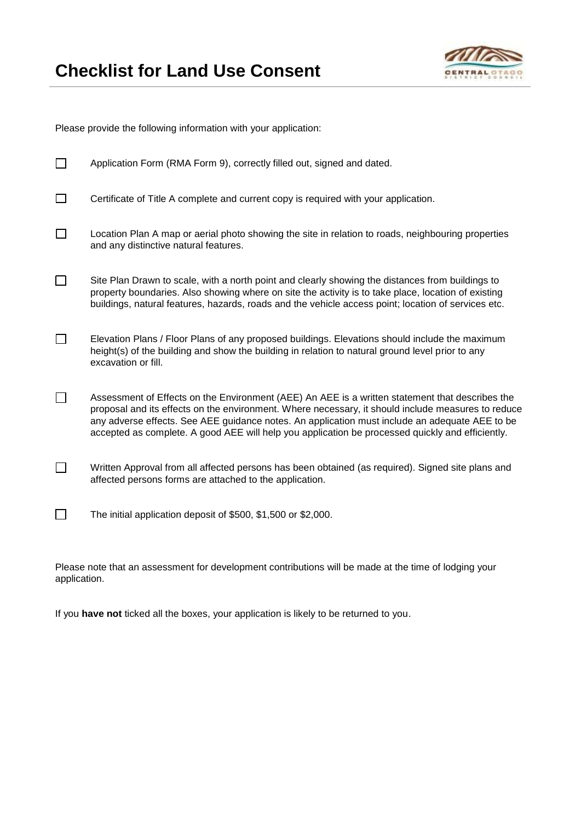

Please provide the following information with your application:

| Application Form (RMA Form 9), correctly filled out, signed and dated.                                                                                                                                                                                                                                                                                                                                      |
|-------------------------------------------------------------------------------------------------------------------------------------------------------------------------------------------------------------------------------------------------------------------------------------------------------------------------------------------------------------------------------------------------------------|
| Certificate of Title A complete and current copy is required with your application.                                                                                                                                                                                                                                                                                                                         |
| Location Plan A map or aerial photo showing the site in relation to roads, neighbouring properties<br>and any distinctive natural features.                                                                                                                                                                                                                                                                 |
| Site Plan Drawn to scale, with a north point and clearly showing the distances from buildings to<br>property boundaries. Also showing where on site the activity is to take place, location of existing<br>buildings, natural features, hazards, roads and the vehicle access point; location of services etc.                                                                                              |
| Elevation Plans / Floor Plans of any proposed buildings. Elevations should include the maximum<br>height(s) of the building and show the building in relation to natural ground level prior to any<br>excavation or fill.                                                                                                                                                                                   |
| Assessment of Effects on the Environment (AEE) An AEE is a written statement that describes the<br>proposal and its effects on the environment. Where necessary, it should include measures to reduce<br>any adverse effects. See AEE guidance notes. An application must include an adequate AEE to be<br>accepted as complete. A good AEE will help you application be processed quickly and efficiently. |
| Written Approval from all affected persons has been obtained (as required). Signed site plans and<br>affected persons forms are attached to the application.                                                                                                                                                                                                                                                |
| The initial application deposit of \$500, \$1,500 or \$2,000.                                                                                                                                                                                                                                                                                                                                               |

Please note that an assessment for development contributions will be made at the time of lodging your application.

If you **have not** ticked all the boxes, your application is likely to be returned to you.